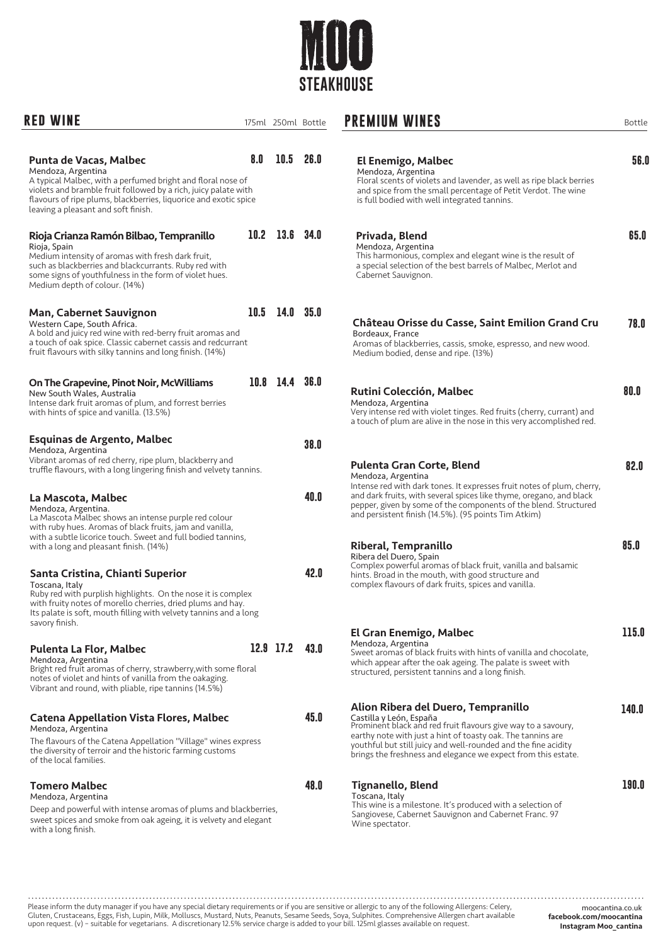

| RED WINE                                                                                                                                                                                                                                                                                  |      | 175ml 250ml Bottle |             |
|-------------------------------------------------------------------------------------------------------------------------------------------------------------------------------------------------------------------------------------------------------------------------------------------|------|--------------------|-------------|
| Punta de Vacas, Malbec<br>Mendoza, Argentina<br>A typical Malbec, with a perfumed bright and floral nose of<br>violets and bramble fruit followed by a rich, juicy palate with<br>flavours of ripe plums, blackberries, liquorice and exotic spice<br>leaving a pleasant and soft finish. | 8.0  | 10.5               | 26.O        |
| Rioja Crianza Ramón Bilbao, Tempranillo<br>Rioja, Spain<br>Medium intensity of aromas with fresh dark fruit,<br>such as blackberries and blackcurrants. Ruby red with<br>some signs of youthfulness in the form of violet hues.<br>Medium depth of colour. (14%)                          | 10.2 | 13.6               | 34.0        |
| Man, Cabernet Sauvignon<br>Western Cape, South Africa.<br>A bold and juicy red wine with red-berry fruit aromas and<br>a touch of oak spice. Classic cabernet cassis and redcurrant<br>fruit flavours with silky tannins and long finish. (14%)                                           | 10.5 | 14.0               | 35.0        |
| On The Grapevine, Pinot Noir, McWilliams<br>New South Wales, Australia<br>Intense dark fruit aromas of plum, and forrest berries<br>with hints of spice and vanilla. (13.5%)                                                                                                              | 10.8 | 14.4 36.0          |             |
| <b>Esquinas de Argento, Malbec</b><br>Mendoza, Argentina<br>Vibrant aromas of red cherry, ripe plum, blackberry and<br>truffle flavours, with a long lingering finish and velvety tannins.                                                                                                |      |                    | <b>38.0</b> |
| La Mascota, Malbec<br>Mendoza, Argentina.<br>La Mascota Malbec shows an intense purple red colour<br>with ruby hues. Aromas of black fruits, jam and vanilla,<br>with a subtle licorice touch. Sweet and full bodied tannins,<br>with a long and pleasant finish. (14%)                   |      |                    | 40.O        |
| Santa Cristina, Chianti Superior<br>Toscana, Italy<br>Ruby red with purplish highlights. On the nose it is complex<br>with fruity notes of morello cherries, dried plums and hay.<br>Its palate is soft, mouth filling with velvety tannins and a long<br>savory finish.                  |      |                    | 42.O        |
| Pulenta La Flor, Malbec<br>Mendoza, Argentina<br>Bright red fruit aromas of cherry, strawberry, with some floral<br>notes of violet and hints of vanilla from the oakaging.<br>Vibrant and round, with pliable, ripe tannins (14.5%)                                                      |      | $12.9$ $17.2$      | 43.0        |
| <b>Catena Appellation Vista Flores, Malbec</b><br>Mendoza, Argentina<br>The flavours of the Catena Appellation "Village" wines express<br>the diversity of terroir and the historic farming customs<br>of the local families.                                                             |      |                    | 45.0        |
| Tomero Malbec<br>Mendoza, Argentina<br>Deep and powerful with intense aromas of plums and blackberries,<br>sweet spices and smoke from oak ageing, it is velvety and elegant<br>with a long finish.                                                                                       |      |                    | <b>48.0</b> |

## **PREMIUM WINES**

| <b>Bottle</b> | <b>PREMIUM WINES</b>                                                                                                                                                                                                                                                                                                              | <b>Bottle</b> |
|---------------|-----------------------------------------------------------------------------------------------------------------------------------------------------------------------------------------------------------------------------------------------------------------------------------------------------------------------------------|---------------|
| 26.0          | <b>El Enemigo, Malbec</b><br>Mendoza, Argentina<br>Floral scents of violets and lavender, as well as ripe black berries<br>and spice from the small percentage of Petit Verdot. The wine<br>is full bodied with well integrated tannins.                                                                                          | 56.0          |
| 34.0          | Privada, Blend<br>Mendoza, Argentina<br>This harmonious, complex and elegant wine is the result of<br>a special selection of the best barrels of Malbec, Merlot and<br>Cabernet Sauvignon.                                                                                                                                        | 65.0          |
| 35.O          | <b>Château Orisse du Casse, Saint Emilion Grand Cru</b><br>Bordeaux, France<br>Aromas of blackberries, cassis, smoke, espresso, and new wood.<br>Medium bodied, dense and ripe. (13%)                                                                                                                                             | 78.0          |
| <b>36.0</b>   | Rutini Colección, Malbec<br>Mendoza, Argentina<br>Very intense red with violet tinges. Red fruits (cherry, currant) and<br>a touch of plum are alive in the nose in this very accomplished red.                                                                                                                                   | 80.0          |
| <b>38.0</b>   |                                                                                                                                                                                                                                                                                                                                   |               |
| 40.0          | Pulenta Gran Corte, Blend<br>Mendoza, Argentina<br>Intense red with dark tones. It expresses fruit notes of plum, cherry,<br>and dark fruits, with several spices like thyme, oregano, and black<br>pepper, given by some of the components of the blend. Structured<br>and persistent finish (14.5%). (95 points Tim Atkim)      | 82.0          |
| 42.0          | Riberal, Tempranillo<br>Ribera del Duero, Spain<br>Complex powerful aromas of black fruit, vanilla and balsamic<br>hints. Broad in the mouth, with good structure and<br>complex flavours of dark fruits, spices and vanilla.                                                                                                     | 85.0          |
| 43.0          | <b>El Gran Enemigo, Malbec</b><br>Mendoza, Argentina<br>Sweet aromas of black fruits with hints of vanilla and chocolate,<br>which appear after the oak ageing. The palate is sweet with<br>structured, persistent tannins and a long finish.                                                                                     | 115.0         |
| 45.0          | Alion Ribera del Duero, Tempranillo<br>Castilla y León, España<br>Prominent black and red fruit flavours give way to a savoury,<br>earthy note with just a hint of toasty oak. The tannins are<br>youthful but still juicy and well-rounded and the fine acidity<br>brings the freshness and elegance we expect from this estate. | 140.O         |
| 48.0          | <b>Tignanello, Blend</b><br>Toscana, Italy<br>This wine is a milestone. It's produced with a selection of<br>Sangiovese, Cabernet Sauvignon and Cabernet Franc. 97<br>Wine spectator.                                                                                                                                             | 190.0         |

Please inform the duty manager if you have any special dietary requirements or if you are sensitive or allergic to any of the following Allergens: Celery,<br>Gluten, Crustaceans, Eggs, Fish, Lupin, Milk, Molluscs, Mustard, Nu